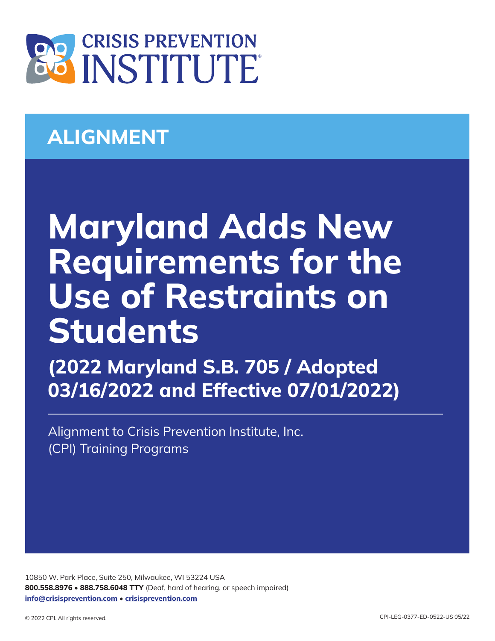

## **ALIGNMENT**

## **Maryland Adds New Requirements for the Use of Restraints on Students**

**(2022 Maryland S.B. 705 / Adopted 03/16/2022 and Effective 07/01/2022)**

Alignment to Crisis Prevention Institute, Inc. (CPI) Training Programs

10850 W. Park Place, Suite 250, Milwaukee, WI 53224 USA **800.558.8976** • **888.758.6048 TTY** (Deaf, hard of hearing, or speech impaired) **info@crisisprevention.com** • **crisisprevention.com**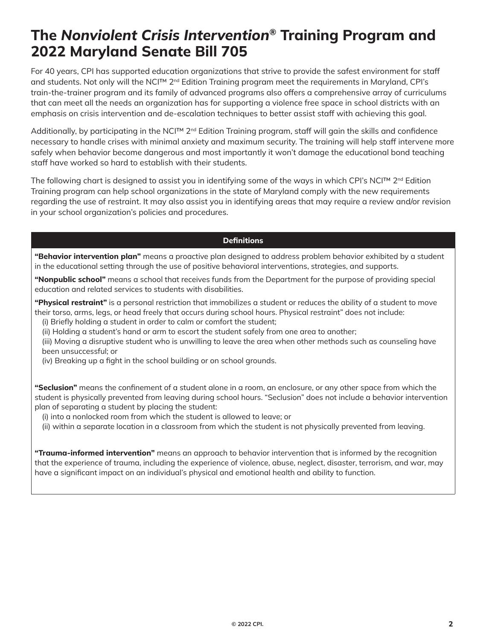## **The** *Nonviolent Crisis Intervention***® Training Program and 2022 Maryland Senate Bill 705**

For 40 years, CPI has supported education organizations that strive to provide the safest environment for staff and students. Not only will the NCI™ 2<sup>nd</sup> Edition Training program meet the requirements in Maryland, CPI's train-the-trainer program and its family of advanced programs also offers a comprehensive array of curriculums that can meet all the needs an organization has for supporting a violence free space in school districts with an emphasis on crisis intervention and de-escalation techniques to better assist staff with achieving this goal.

Additionally, by participating in the NCI™ 2nd Edition Training program, staff will gain the skills and confidence necessary to handle crises with minimal anxiety and maximum security. The training will help staff intervene more safely when behavior become dangerous and most importantly it won't damage the educational bond teaching staff have worked so hard to establish with their students.

The following chart is designed to assist you in identifying some of the ways in which CPI's NCI™ 2<sup>nd</sup> Edition Training program can help school organizations in the state of Maryland comply with the new requirements regarding the use of restraint. It may also assist you in identifying areas that may require a review and/or revision in your school organization's policies and procedures.

## **Definitions**

**"Behavior intervention plan"** means a proactive plan designed to address problem behavior exhibited by a student in the educational setting through the use of positive behavioral interventions, strategies, and supports.

**"Nonpublic school"** means a school that receives funds from the Department for the purpose of providing special education and related services to students with disabilities.

**"Physical restraint"** is a personal restriction that immobilizes a student or reduces the ability of a student to move their torso, arms, legs, or head freely that occurs during school hours. Physical restraint" does not include:

(i) Briefly holding a student in order to calm or comfort the student;

(ii) Holding a student's hand or arm to escort the student safely from one area to another;

(iii) Moving a disruptive student who is unwilling to leave the area when other methods such as counseling have been unsuccessful; or

(iv) Breaking up a fight in the school building or on school grounds.

**"Seclusion"** means the confinement of a student alone in a room, an enclosure, or any other space from which the student is physically prevented from leaving during school hours. "Seclusion" does not include a behavior intervention plan of separating a student by placing the student:

(i) into a nonlocked room from which the student is allowed to leave; or

(ii) within a separate location in a classroom from which the student is not physically prevented from leaving.

**"Trauma-informed intervention"** means an approach to behavior intervention that is informed by the recognition that the experience of trauma, including the experience of violence, abuse, neglect, disaster, terrorism, and war, may have a significant impact on an individual's physical and emotional health and ability to function.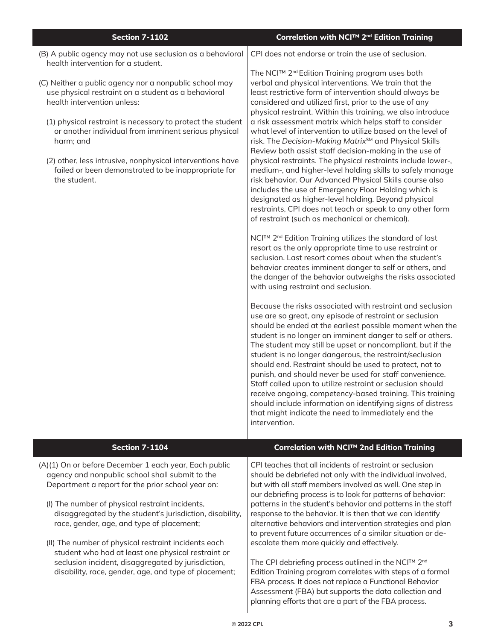| <b>Section 7-1102</b>                                                                                                                                                                                                                                                                                                                                                                                                                                                                                                                                  | <b>Correlation with NCI™ 2<sup>nd</sup> Edition Training</b>                                                                                                                                                                                                                                                                                                                                                                                                                                                                                                                                                                                                                                                                                                                                                                                                           |
|--------------------------------------------------------------------------------------------------------------------------------------------------------------------------------------------------------------------------------------------------------------------------------------------------------------------------------------------------------------------------------------------------------------------------------------------------------------------------------------------------------------------------------------------------------|------------------------------------------------------------------------------------------------------------------------------------------------------------------------------------------------------------------------------------------------------------------------------------------------------------------------------------------------------------------------------------------------------------------------------------------------------------------------------------------------------------------------------------------------------------------------------------------------------------------------------------------------------------------------------------------------------------------------------------------------------------------------------------------------------------------------------------------------------------------------|
| (B) A public agency may not use seclusion as a behavioral<br>health intervention for a student.                                                                                                                                                                                                                                                                                                                                                                                                                                                        | CPI does not endorse or train the use of seclusion.                                                                                                                                                                                                                                                                                                                                                                                                                                                                                                                                                                                                                                                                                                                                                                                                                    |
| (C) Neither a public agency nor a nonpublic school may<br>use physical restraint on a student as a behavioral<br>health intervention unless:<br>(1) physical restraint is necessary to protect the student<br>or another individual from imminent serious physical<br>harm; and                                                                                                                                                                                                                                                                        | The NCI™ 2 <sup>nd</sup> Edition Training program uses both<br>verbal and physical interventions. We train that the<br>least restrictive form of intervention should always be<br>considered and utilized first, prior to the use of any<br>physical restraint. Within this training, we also introduce<br>a risk assessment matrix which helps staff to consider<br>what level of intervention to utilize based on the level of<br>risk. The Decision-Making Matrix <sup>SM</sup> and Physical Skills<br>Review both assist staff decision-making in the use of                                                                                                                                                                                                                                                                                                       |
| (2) other, less intrusive, nonphysical interventions have<br>failed or been demonstrated to be inappropriate for<br>the student.                                                                                                                                                                                                                                                                                                                                                                                                                       | physical restraints. The physical restraints include lower-,<br>medium-, and higher-level holding skills to safely manage<br>risk behavior. Our Advanced Physical Skills course also<br>includes the use of Emergency Floor Holding which is<br>designated as higher-level holding. Beyond physical<br>restraints, CPI does not teach or speak to any other form<br>of restraint (such as mechanical or chemical).                                                                                                                                                                                                                                                                                                                                                                                                                                                     |
|                                                                                                                                                                                                                                                                                                                                                                                                                                                                                                                                                        | NCI™ 2 <sup>nd</sup> Edition Training utilizes the standard of last<br>resort as the only appropriate time to use restraint or<br>seclusion. Last resort comes about when the student's<br>behavior creates imminent danger to self or others, and<br>the danger of the behavior outweighs the risks associated<br>with using restraint and seclusion.                                                                                                                                                                                                                                                                                                                                                                                                                                                                                                                 |
|                                                                                                                                                                                                                                                                                                                                                                                                                                                                                                                                                        | Because the risks associated with restraint and seclusion<br>use are so great, any episode of restraint or seclusion<br>should be ended at the earliest possible moment when the<br>student is no longer an imminent danger to self or others.<br>The student may still be upset or noncompliant, but if the<br>student is no longer dangerous, the restraint/seclusion<br>should end. Restraint should be used to protect, not to<br>punish, and should never be used for staff convenience.<br>Staff called upon to utilize restraint or seclusion should<br>receive ongoing, competency-based training. This training<br>should include information on identifying signs of distress<br>that might indicate the need to immediately end the<br>intervention.                                                                                                        |
| <b>Section 7-1104</b>                                                                                                                                                                                                                                                                                                                                                                                                                                                                                                                                  | Correlation with NCI™ 2nd Edition Training                                                                                                                                                                                                                                                                                                                                                                                                                                                                                                                                                                                                                                                                                                                                                                                                                             |
| (A)(1) On or before December 1 each year, Each public<br>agency and nonpublic school shall submit to the<br>Department a report for the prior school year on:<br>(I) The number of physical restraint incidents,<br>disaggregated by the student's jurisdiction, disability,<br>race, gender, age, and type of placement;<br>(II) The number of physical restraint incidents each<br>student who had at least one physical restraint or<br>seclusion incident, disaggregated by jurisdiction,<br>disability, race, gender, age, and type of placement; | CPI teaches that all incidents of restraint or seclusion<br>should be debriefed not only with the individual involved,<br>but with all staff members involved as well. One step in<br>our debriefing process is to look for patterns of behavior:<br>patterns in the student's behavior and patterns in the staff<br>response to the behavior. It is then that we can identify<br>alternative behaviors and intervention strategies and plan<br>to prevent future occurrences of a similar situation or de-<br>escalate them more quickly and effectively.<br>The CPI debriefing process outlined in the NCI™ 2 <sup>nd</sup><br>Edition Training program correlates with steps of a formal<br>FBA process. It does not replace a Functional Behavior<br>Assessment (FBA) but supports the data collection and<br>planning efforts that are a part of the FBA process. |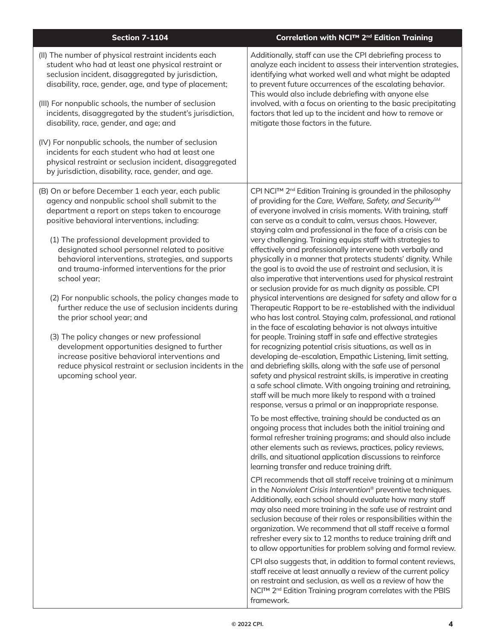| <b>Section 7-1104</b>                                                                                                                                                                                                                                                                                                                                                                                                                                                                                                                                                                                                                                                                                                                                                                                                     | Correlation with NCITM 2 <sup>nd</sup> Edition Training                                                                                                                                                                                                                                                                                                                                                                                                                                                                                                                                                                                                                                                                                                                                                                                                                                                                                                                                                                                                                                                                                                                                                                                                                                                                                                                                                                                                                                                                                                                                                                                                                                                                                                                                                                                                                                                                                                                                                                                                                                                                                                                                                                                                                                                                                                                                                                                                                                                                                                                                                                                                                                                                                       |
|---------------------------------------------------------------------------------------------------------------------------------------------------------------------------------------------------------------------------------------------------------------------------------------------------------------------------------------------------------------------------------------------------------------------------------------------------------------------------------------------------------------------------------------------------------------------------------------------------------------------------------------------------------------------------------------------------------------------------------------------------------------------------------------------------------------------------|-----------------------------------------------------------------------------------------------------------------------------------------------------------------------------------------------------------------------------------------------------------------------------------------------------------------------------------------------------------------------------------------------------------------------------------------------------------------------------------------------------------------------------------------------------------------------------------------------------------------------------------------------------------------------------------------------------------------------------------------------------------------------------------------------------------------------------------------------------------------------------------------------------------------------------------------------------------------------------------------------------------------------------------------------------------------------------------------------------------------------------------------------------------------------------------------------------------------------------------------------------------------------------------------------------------------------------------------------------------------------------------------------------------------------------------------------------------------------------------------------------------------------------------------------------------------------------------------------------------------------------------------------------------------------------------------------------------------------------------------------------------------------------------------------------------------------------------------------------------------------------------------------------------------------------------------------------------------------------------------------------------------------------------------------------------------------------------------------------------------------------------------------------------------------------------------------------------------------------------------------------------------------------------------------------------------------------------------------------------------------------------------------------------------------------------------------------------------------------------------------------------------------------------------------------------------------------------------------------------------------------------------------------------------------------------------------------------------------------------------------|
| (II) The number of physical restraint incidents each<br>student who had at least one physical restraint or<br>seclusion incident, disaggregated by jurisdiction,<br>disability, race, gender, age, and type of placement;<br>(III) For nonpublic schools, the number of seclusion<br>incidents, disaggregated by the student's jurisdiction,<br>disability, race, gender, and age; and                                                                                                                                                                                                                                                                                                                                                                                                                                    | Additionally, staff can use the CPI debriefing process to<br>analyze each incident to assess their intervention strategies,<br>identifying what worked well and what might be adapted<br>to prevent future occurrences of the escalating behavior.<br>This would also include debriefing with anyone else<br>involved, with a focus on orienting to the basic precipitating<br>factors that led up to the incident and how to remove or<br>mitigate those factors in the future.                                                                                                                                                                                                                                                                                                                                                                                                                                                                                                                                                                                                                                                                                                                                                                                                                                                                                                                                                                                                                                                                                                                                                                                                                                                                                                                                                                                                                                                                                                                                                                                                                                                                                                                                                                                                                                                                                                                                                                                                                                                                                                                                                                                                                                                              |
| (IV) For nonpublic schools, the number of seclusion<br>incidents for each student who had at least one<br>physical restraint or seclusion incident, disaggregated<br>by jurisdiction, disability, race, gender, and age.                                                                                                                                                                                                                                                                                                                                                                                                                                                                                                                                                                                                  |                                                                                                                                                                                                                                                                                                                                                                                                                                                                                                                                                                                                                                                                                                                                                                                                                                                                                                                                                                                                                                                                                                                                                                                                                                                                                                                                                                                                                                                                                                                                                                                                                                                                                                                                                                                                                                                                                                                                                                                                                                                                                                                                                                                                                                                                                                                                                                                                                                                                                                                                                                                                                                                                                                                                               |
| (B) On or before December 1 each year, each public<br>agency and nonpublic school shall submit to the<br>department a report on steps taken to encourage<br>positive behavioral interventions, including:<br>(1) The professional development provided to<br>designated school personnel related to positive<br>behavioral interventions, strategies, and supports<br>and trauma-informed interventions for the prior<br>school year;<br>(2) For nonpublic schools, the policy changes made to<br>further reduce the use of seclusion incidents during<br>the prior school year; and<br>(3) The policy changes or new professional<br>development opportunities designed to further<br>increase positive behavioral interventions and<br>reduce physical restraint or seclusion incidents in the<br>upcoming school year. | CPI NCI™ 2 <sup>nd</sup> Edition Training is grounded in the philosophy<br>of providing for the Care, Welfare, Safety, and Security <sup>SM</sup><br>of everyone involved in crisis moments. With training, staff<br>can serve as a conduit to calm, versus chaos. However,<br>staying calm and professional in the face of a crisis can be<br>very challenging. Training equips staff with strategies to<br>effectively and professionally intervene both verbally and<br>physically in a manner that protects students' dignity. While<br>the goal is to avoid the use of restraint and seclusion, it is<br>also imperative that interventions used for physical restraint<br>or seclusion provide for as much dignity as possible. CPI<br>physical interventions are designed for safety and allow for a<br>Therapeutic Rapport to be re-established with the individual<br>who has lost control. Staying calm, professional, and rational<br>in the face of escalating behavior is not always intuitive<br>for people. Training staff in safe and effective strategies<br>for recognizing potential crisis situations, as well as in<br>developing de-escalation, Empathic Listening, limit setting,<br>and debriefing skills, along with the safe use of personal<br>safety and physical restraint skills, is imperative in creating<br>a safe school climate. With ongoing training and retraining,<br>staff will be much more likely to respond with a trained<br>response, versus a primal or an inappropriate response.<br>To be most effective, training should be conducted as an<br>ongoing process that includes both the initial training and<br>formal refresher training programs; and should also include<br>other elements such as reviews, practices, policy reviews,<br>drills, and situational application discussions to reinforce<br>learning transfer and reduce training drift.<br>CPI recommends that all staff receive training at a minimum<br>in the Nonviolent Crisis Intervention <sup>®</sup> preventive techniques.<br>Additionally, each school should evaluate how many staff<br>may also need more training in the safe use of restraint and<br>seclusion because of their roles or responsibilities within the<br>organization. We recommend that all staff receive a formal<br>refresher every six to 12 months to reduce training drift and<br>to allow opportunities for problem solving and formal review.<br>CPI also suggests that, in addition to formal content reviews,<br>staff receive at least annually a review of the current policy<br>on restraint and seclusion, as well as a review of how the<br>NCI™ 2 <sup>nd</sup> Edition Training program correlates with the PBIS<br>framework. |